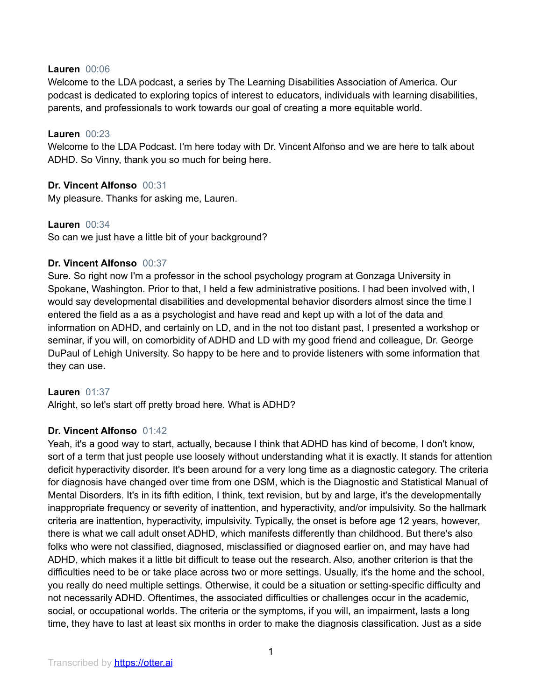#### **Lauren** 00:06

Welcome to the LDA podcast, a series by The Learning Disabilities Association of America. Our podcast is dedicated to exploring topics of interest to educators, individuals with learning disabilities, parents, and professionals to work towards our goal of creating a more equitable world.

### **Lauren** 00:23

Welcome to the LDA Podcast. I'm here today with Dr. Vincent Alfonso and we are here to talk about ADHD. So Vinny, thank you so much for being here.

### **Dr. Vincent Alfonso** 00:31

My pleasure. Thanks for asking me, Lauren.

### **Lauren** 00:34

So can we just have a little bit of your background?

### **Dr. Vincent Alfonso** 00:37

Sure. So right now I'm a professor in the school psychology program at Gonzaga University in Spokane, Washington. Prior to that, I held a few administrative positions. I had been involved with, I would say developmental disabilities and developmental behavior disorders almost since the time I entered the field as a as a psychologist and have read and kept up with a lot of the data and information on ADHD, and certainly on LD, and in the not too distant past, I presented a workshop or seminar, if you will, on comorbidity of ADHD and LD with my good friend and colleague, Dr. George DuPaul of Lehigh University. So happy to be here and to provide listeners with some information that they can use.

### **Lauren** 01:37

Alright, so let's start off pretty broad here. What is ADHD?

### **Dr. Vincent Alfonso** 01:42

Yeah, it's a good way to start, actually, because I think that ADHD has kind of become, I don't know, sort of a term that just people use loosely without understanding what it is exactly. It stands for attention deficit hyperactivity disorder. It's been around for a very long time as a diagnostic category. The criteria for diagnosis have changed over time from one DSM, which is the Diagnostic and Statistical Manual of Mental Disorders. It's in its fifth edition, I think, text revision, but by and large, it's the developmentally inappropriate frequency or severity of inattention, and hyperactivity, and/or impulsivity. So the hallmark criteria are inattention, hyperactivity, impulsivity. Typically, the onset is before age 12 years, however, there is what we call adult onset ADHD, which manifests differently than childhood. But there's also folks who were not classified, diagnosed, misclassified or diagnosed earlier on, and may have had ADHD, which makes it a little bit difficult to tease out the research. Also, another criterion is that the difficulties need to be or take place across two or more settings. Usually, it's the home and the school, you really do need multiple settings. Otherwise, it could be a situation or setting-specific difficulty and not necessarily ADHD. Oftentimes, the associated difficulties or challenges occur in the academic, social, or occupational worlds. The criteria or the symptoms, if you will, an impairment, lasts a long time, they have to last at least six months in order to make the diagnosis classification. Just as a side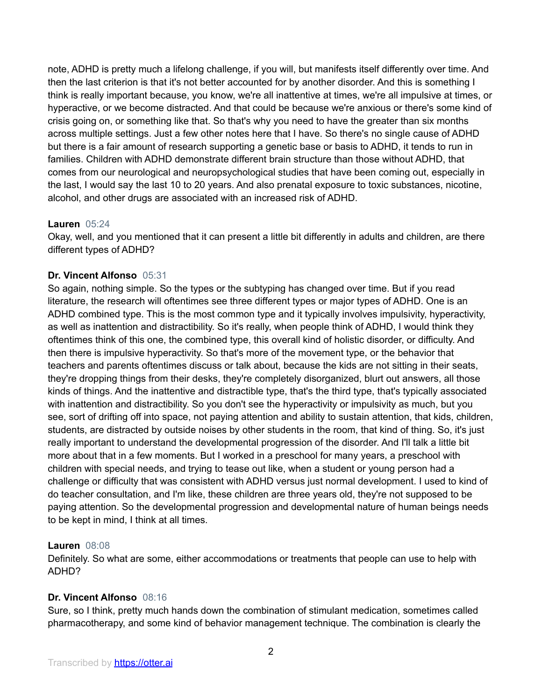note, ADHD is pretty much a lifelong challenge, if you will, but manifests itself differently over time. And then the last criterion is that it's not better accounted for by another disorder. And this is something I think is really important because, you know, we're all inattentive at times, we're all impulsive at times, or hyperactive, or we become distracted. And that could be because we're anxious or there's some kind of crisis going on, or something like that. So that's why you need to have the greater than six months across multiple settings. Just a few other notes here that I have. So there's no single cause of ADHD but there is a fair amount of research supporting a genetic base or basis to ADHD, it tends to run in families. Children with ADHD demonstrate different brain structure than those without ADHD, that comes from our neurological and neuropsychological studies that have been coming out, especially in the last, I would say the last 10 to 20 years. And also prenatal exposure to toxic substances, nicotine, alcohol, and other drugs are associated with an increased risk of ADHD.

### **Lauren** 05:24

Okay, well, and you mentioned that it can present a little bit differently in adults and children, are there different types of ADHD?

## **Dr. Vincent Alfonso** 05:31

So again, nothing simple. So the types or the subtyping has changed over time. But if you read literature, the research will oftentimes see three different types or major types of ADHD. One is an ADHD combined type. This is the most common type and it typically involves impulsivity, hyperactivity, as well as inattention and distractibility. So it's really, when people think of ADHD, I would think they oftentimes think of this one, the combined type, this overall kind of holistic disorder, or difficulty. And then there is impulsive hyperactivity. So that's more of the movement type, or the behavior that teachers and parents oftentimes discuss or talk about, because the kids are not sitting in their seats, they're dropping things from their desks, they're completely disorganized, blurt out answers, all those kinds of things. And the inattentive and distractible type, that's the third type, that's typically associated with inattention and distractibility. So you don't see the hyperactivity or impulsivity as much, but you see, sort of drifting off into space, not paying attention and ability to sustain attention, that kids, children, students, are distracted by outside noises by other students in the room, that kind of thing. So, it's just really important to understand the developmental progression of the disorder. And I'll talk a little bit more about that in a few moments. But I worked in a preschool for many years, a preschool with children with special needs, and trying to tease out like, when a student or young person had a challenge or difficulty that was consistent with ADHD versus just normal development. I used to kind of do teacher consultation, and I'm like, these children are three years old, they're not supposed to be paying attention. So the developmental progression and developmental nature of human beings needs to be kept in mind, I think at all times.

## **Lauren** 08:08

Definitely. So what are some, either accommodations or treatments that people can use to help with ADHD?

## **Dr. Vincent Alfonso** 08:16

Sure, so I think, pretty much hands down the combination of stimulant medication, sometimes called pharmacotherapy, and some kind of behavior management technique. The combination is clearly the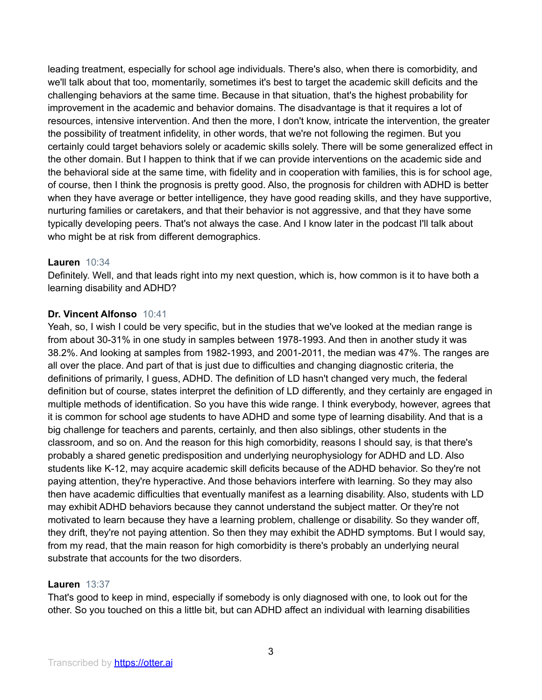leading treatment, especially for school age individuals. There's also, when there is comorbidity, and we'll talk about that too, momentarily, sometimes it's best to target the academic skill deficits and the challenging behaviors at the same time. Because in that situation, that's the highest probability for improvement in the academic and behavior domains. The disadvantage is that it requires a lot of resources, intensive intervention. And then the more, I don't know, intricate the intervention, the greater the possibility of treatment infidelity, in other words, that we're not following the regimen. But you certainly could target behaviors solely or academic skills solely. There will be some generalized effect in the other domain. But I happen to think that if we can provide interventions on the academic side and the behavioral side at the same time, with fidelity and in cooperation with families, this is for school age, of course, then I think the prognosis is pretty good. Also, the prognosis for children with ADHD is better when they have average or better intelligence, they have good reading skills, and they have supportive, nurturing families or caretakers, and that their behavior is not aggressive, and that they have some typically developing peers. That's not always the case. And I know later in the podcast I'll talk about who might be at risk from different demographics.

### **Lauren** 10:34

Definitely. Well, and that leads right into my next question, which is, how common is it to have both a learning disability and ADHD?

### **Dr. Vincent Alfonso** 10:41

Yeah, so, I wish I could be very specific, but in the studies that we've looked at the median range is from about 30-31% in one study in samples between 1978-1993. And then in another study it was 38.2%. And looking at samples from 1982-1993, and 2001-2011, the median was 47%. The ranges are all over the place. And part of that is just due to difficulties and changing diagnostic criteria, the definitions of primarily, I guess, ADHD. The definition of LD hasn't changed very much, the federal definition but of course, states interpret the definition of LD differently, and they certainly are engaged in multiple methods of identification. So you have this wide range. I think everybody, however, agrees that it is common for school age students to have ADHD and some type of learning disability. And that is a big challenge for teachers and parents, certainly, and then also siblings, other students in the classroom, and so on. And the reason for this high comorbidity, reasons I should say, is that there's probably a shared genetic predisposition and underlying neurophysiology for ADHD and LD. Also students like K-12, may acquire academic skill deficits because of the ADHD behavior. So they're not paying attention, they're hyperactive. And those behaviors interfere with learning. So they may also then have academic difficulties that eventually manifest as a learning disability. Also, students with LD may exhibit ADHD behaviors because they cannot understand the subject matter. Or they're not motivated to learn because they have a learning problem, challenge or disability. So they wander off, they drift, they're not paying attention. So then they may exhibit the ADHD symptoms. But I would say, from my read, that the main reason for high comorbidity is there's probably an underlying neural substrate that accounts for the two disorders.

### **Lauren** 13:37

That's good to keep in mind, especially if somebody is only diagnosed with one, to look out for the other. So you touched on this a little bit, but can ADHD affect an individual with learning disabilities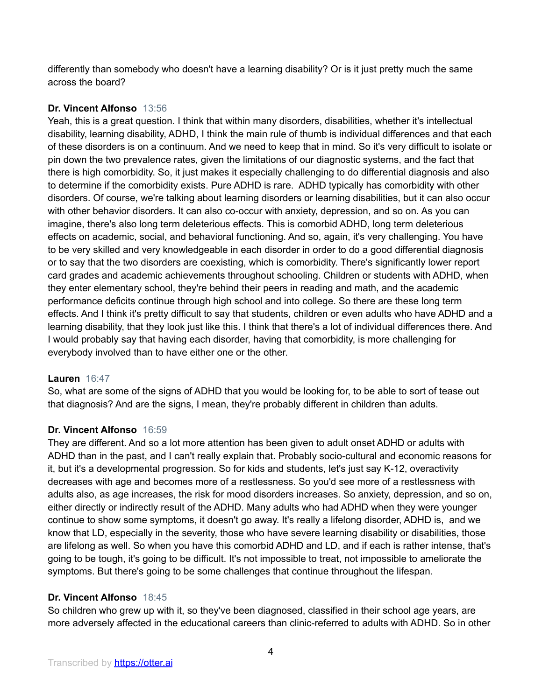differently than somebody who doesn't have a learning disability? Or is it just pretty much the same across the board?

## **Dr. Vincent Alfonso** 13:56

Yeah, this is a great question. I think that within many disorders, disabilities, whether it's intellectual disability, learning disability, ADHD, I think the main rule of thumb is individual differences and that each of these disorders is on a continuum. And we need to keep that in mind. So it's very difficult to isolate or pin down the two prevalence rates, given the limitations of our diagnostic systems, and the fact that there is high comorbidity. So, it just makes it especially challenging to do differential diagnosis and also to determine if the comorbidity exists. Pure ADHD is rare. ADHD typically has comorbidity with other disorders. Of course, we're talking about learning disorders or learning disabilities, but it can also occur with other behavior disorders. It can also co-occur with anxiety, depression, and so on. As you can imagine, there's also long term deleterious effects. This is comorbid ADHD, long term deleterious effects on academic, social, and behavioral functioning. And so, again, it's very challenging. You have to be very skilled and very knowledgeable in each disorder in order to do a good differential diagnosis or to say that the two disorders are coexisting, which is comorbidity. There's significantly lower report card grades and academic achievements throughout schooling. Children or students with ADHD, when they enter elementary school, they're behind their peers in reading and math, and the academic performance deficits continue through high school and into college. So there are these long term effects. And I think it's pretty difficult to say that students, children or even adults who have ADHD and a learning disability, that they look just like this. I think that there's a lot of individual differences there. And I would probably say that having each disorder, having that comorbidity, is more challenging for everybody involved than to have either one or the other.

## **Lauren** 16:47

So, what are some of the signs of ADHD that you would be looking for, to be able to sort of tease out that diagnosis? And are the signs, I mean, they're probably different in children than adults.

## **Dr. Vincent Alfonso** 16:59

They are different. And so a lot more attention has been given to adult onset ADHD or adults with ADHD than in the past, and I can't really explain that. Probably socio-cultural and economic reasons for it, but it's a developmental progression. So for kids and students, let's just say K-12, overactivity decreases with age and becomes more of a restlessness. So you'd see more of a restlessness with adults also, as age increases, the risk for mood disorders increases. So anxiety, depression, and so on, either directly or indirectly result of the ADHD. Many adults who had ADHD when they were younger continue to show some symptoms, it doesn't go away. It's really a lifelong disorder, ADHD is, and we know that LD, especially in the severity, those who have severe learning disability or disabilities, those are lifelong as well. So when you have this comorbid ADHD and LD, and if each is rather intense, that's going to be tough, it's going to be difficult. It's not impossible to treat, not impossible to ameliorate the symptoms. But there's going to be some challenges that continue throughout the lifespan.

## **Dr. Vincent Alfonso** 18:45

So children who grew up with it, so they've been diagnosed, classified in their school age years, are more adversely affected in the educational careers than clinic-referred to adults with ADHD. So in other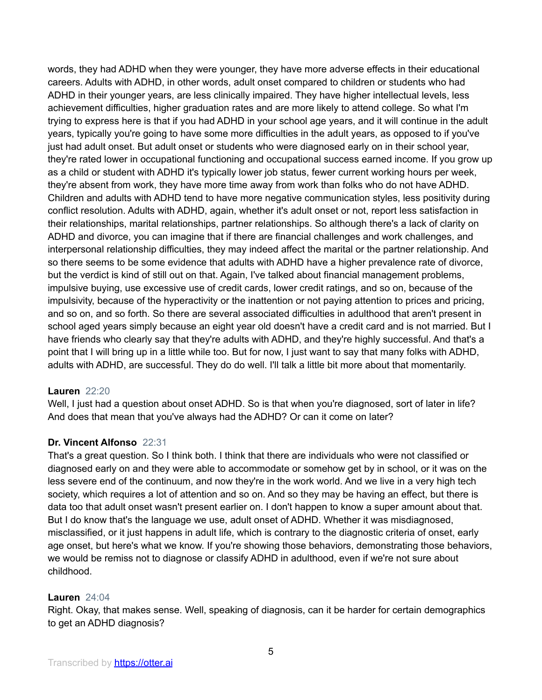words, they had ADHD when they were younger, they have more adverse effects in their educational careers. Adults with ADHD, in other words, adult onset compared to children or students who had ADHD in their younger years, are less clinically impaired. They have higher intellectual levels, less achievement difficulties, higher graduation rates and are more likely to attend college. So what I'm trying to express here is that if you had ADHD in your school age years, and it will continue in the adult years, typically you're going to have some more difficulties in the adult years, as opposed to if you've just had adult onset. But adult onset or students who were diagnosed early on in their school year, they're rated lower in occupational functioning and occupational success earned income. If you grow up as a child or student with ADHD it's typically lower job status, fewer current working hours per week, they're absent from work, they have more time away from work than folks who do not have ADHD. Children and adults with ADHD tend to have more negative communication styles, less positivity during conflict resolution. Adults with ADHD, again, whether it's adult onset or not, report less satisfaction in their relationships, marital relationships, partner relationships. So although there's a lack of clarity on ADHD and divorce, you can imagine that if there are financial challenges and work challenges, and interpersonal relationship difficulties, they may indeed affect the marital or the partner relationship. And so there seems to be some evidence that adults with ADHD have a higher prevalence rate of divorce, but the verdict is kind of still out on that. Again, I've talked about financial management problems, impulsive buying, use excessive use of credit cards, lower credit ratings, and so on, because of the impulsivity, because of the hyperactivity or the inattention or not paying attention to prices and pricing, and so on, and so forth. So there are several associated difficulties in adulthood that aren't present in school aged years simply because an eight year old doesn't have a credit card and is not married. But I have friends who clearly say that they're adults with ADHD, and they're highly successful. And that's a point that I will bring up in a little while too. But for now, I just want to say that many folks with ADHD, adults with ADHD, are successful. They do do well. I'll talk a little bit more about that momentarily.

### **Lauren** 22:20

Well, I just had a question about onset ADHD. So is that when you're diagnosed, sort of later in life? And does that mean that you've always had the ADHD? Or can it come on later?

### **Dr. Vincent Alfonso** 22:31

That's a great question. So I think both. I think that there are individuals who were not classified or diagnosed early on and they were able to accommodate or somehow get by in school, or it was on the less severe end of the continuum, and now they're in the work world. And we live in a very high tech society, which requires a lot of attention and so on. And so they may be having an effect, but there is data too that adult onset wasn't present earlier on. I don't happen to know a super amount about that. But I do know that's the language we use, adult onset of ADHD. Whether it was misdiagnosed, misclassified, or it just happens in adult life, which is contrary to the diagnostic criteria of onset, early age onset, but here's what we know. If you're showing those behaviors, demonstrating those behaviors, we would be remiss not to diagnose or classify ADHD in adulthood, even if we're not sure about childhood.

### **Lauren** 24:04

Right. Okay, that makes sense. Well, speaking of diagnosis, can it be harder for certain demographics to get an ADHD diagnosis?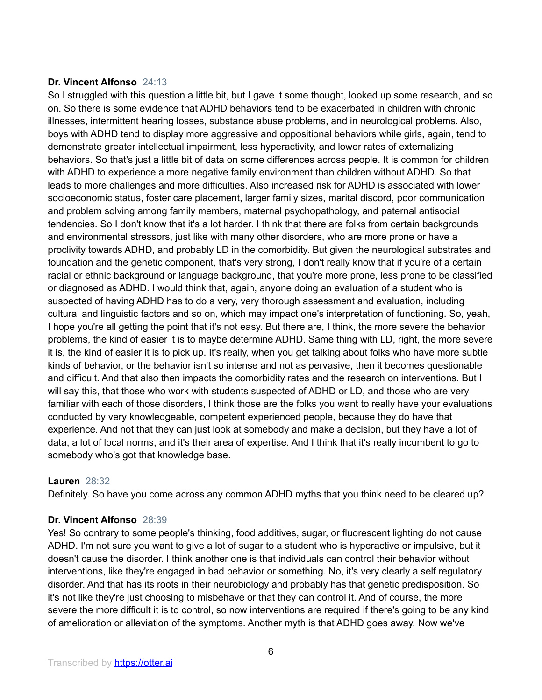### **Dr. Vincent Alfonso** 24:13

So I struggled with this question a little bit, but I gave it some thought, looked up some research, and so on. So there is some evidence that ADHD behaviors tend to be exacerbated in children with chronic illnesses, intermittent hearing losses, substance abuse problems, and in neurological problems. Also, boys with ADHD tend to display more aggressive and oppositional behaviors while girls, again, tend to demonstrate greater intellectual impairment, less hyperactivity, and lower rates of externalizing behaviors. So that's just a little bit of data on some differences across people. It is common for children with ADHD to experience a more negative family environment than children without ADHD. So that leads to more challenges and more difficulties. Also increased risk for ADHD is associated with lower socioeconomic status, foster care placement, larger family sizes, marital discord, poor communication and problem solving among family members, maternal psychopathology, and paternal antisocial tendencies. So I don't know that it's a lot harder. I think that there are folks from certain backgrounds and environmental stressors, just like with many other disorders, who are more prone or have a proclivity towards ADHD, and probably LD in the comorbidity. But given the neurological substrates and foundation and the genetic component, that's very strong, I don't really know that if you're of a certain racial or ethnic background or language background, that you're more prone, less prone to be classified or diagnosed as ADHD. I would think that, again, anyone doing an evaluation of a student who is suspected of having ADHD has to do a very, very thorough assessment and evaluation, including cultural and linguistic factors and so on, which may impact one's interpretation of functioning. So, yeah, I hope you're all getting the point that it's not easy. But there are, I think, the more severe the behavior problems, the kind of easier it is to maybe determine ADHD. Same thing with LD, right, the more severe it is, the kind of easier it is to pick up. It's really, when you get talking about folks who have more subtle kinds of behavior, or the behavior isn't so intense and not as pervasive, then it becomes questionable and difficult. And that also then impacts the comorbidity rates and the research on interventions. But I will say this, that those who work with students suspected of ADHD or LD, and those who are very familiar with each of those disorders, I think those are the folks you want to really have your evaluations conducted by very knowledgeable, competent experienced people, because they do have that experience. And not that they can just look at somebody and make a decision, but they have a lot of data, a lot of local norms, and it's their area of expertise. And I think that it's really incumbent to go to somebody who's got that knowledge base.

## **Lauren** 28:32

Definitely. So have you come across any common ADHD myths that you think need to be cleared up?

### **Dr. Vincent Alfonso** 28:39

Yes! So contrary to some people's thinking, food additives, sugar, or fluorescent lighting do not cause ADHD. I'm not sure you want to give a lot of sugar to a student who is hyperactive or impulsive, but it doesn't cause the disorder. I think another one is that individuals can control their behavior without interventions, like they're engaged in bad behavior or something. No, it's very clearly a self regulatory disorder. And that has its roots in their neurobiology and probably has that genetic predisposition. So it's not like they're just choosing to misbehave or that they can control it. And of course, the more severe the more difficult it is to control, so now interventions are required if there's going to be any kind of amelioration or alleviation of the symptoms. Another myth is that ADHD goes away. Now we've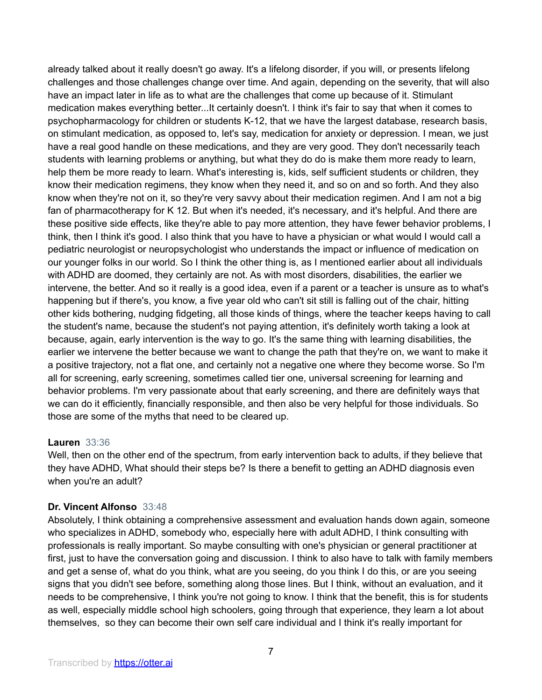already talked about it really doesn't go away. It's a lifelong disorder, if you will, or presents lifelong challenges and those challenges change over time. And again, depending on the severity, that will also have an impact later in life as to what are the challenges that come up because of it. Stimulant medication makes everything better...It certainly doesn't. I think it's fair to say that when it comes to psychopharmacology for children or students K-12, that we have the largest database, research basis, on stimulant medication, as opposed to, let's say, medication for anxiety or depression. I mean, we just have a real good handle on these medications, and they are very good. They don't necessarily teach students with learning problems or anything, but what they do do is make them more ready to learn, help them be more ready to learn. What's interesting is, kids, self sufficient students or children, they know their medication regimens, they know when they need it, and so on and so forth. And they also know when they're not on it, so they're very savvy about their medication regimen. And I am not a big fan of pharmacotherapy for K 12. But when it's needed, it's necessary, and it's helpful. And there are these positive side effects, like they're able to pay more attention, they have fewer behavior problems, I think, then I think it's good. I also think that you have to have a physician or what would I would call a pediatric neurologist or neuropsychologist who understands the impact or influence of medication on our younger folks in our world. So I think the other thing is, as I mentioned earlier about all individuals with ADHD are doomed, they certainly are not. As with most disorders, disabilities, the earlier we intervene, the better. And so it really is a good idea, even if a parent or a teacher is unsure as to what's happening but if there's, you know, a five year old who can't sit still is falling out of the chair, hitting other kids bothering, nudging fidgeting, all those kinds of things, where the teacher keeps having to call the student's name, because the student's not paying attention, it's definitely worth taking a look at because, again, early intervention is the way to go. It's the same thing with learning disabilities, the earlier we intervene the better because we want to change the path that they're on, we want to make it a positive trajectory, not a flat one, and certainly not a negative one where they become worse. So I'm all for screening, early screening, sometimes called tier one, universal screening for learning and behavior problems. I'm very passionate about that early screening, and there are definitely ways that we can do it efficiently, financially responsible, and then also be very helpful for those individuals. So those are some of the myths that need to be cleared up.

#### **Lauren** 33:36

Well, then on the other end of the spectrum, from early intervention back to adults, if they believe that they have ADHD, What should their steps be? Is there a benefit to getting an ADHD diagnosis even when you're an adult?

### **Dr. Vincent Alfonso** 33:48

Absolutely, I think obtaining a comprehensive assessment and evaluation hands down again, someone who specializes in ADHD, somebody who, especially here with adult ADHD, I think consulting with professionals is really important. So maybe consulting with one's physician or general practitioner at first, just to have the conversation going and discussion. I think to also have to talk with family members and get a sense of, what do you think, what are you seeing, do you think I do this, or are you seeing signs that you didn't see before, something along those lines. But I think, without an evaluation, and it needs to be comprehensive, I think you're not going to know. I think that the benefit, this is for students as well, especially middle school high schoolers, going through that experience, they learn a lot about themselves, so they can become their own self care individual and I think it's really important for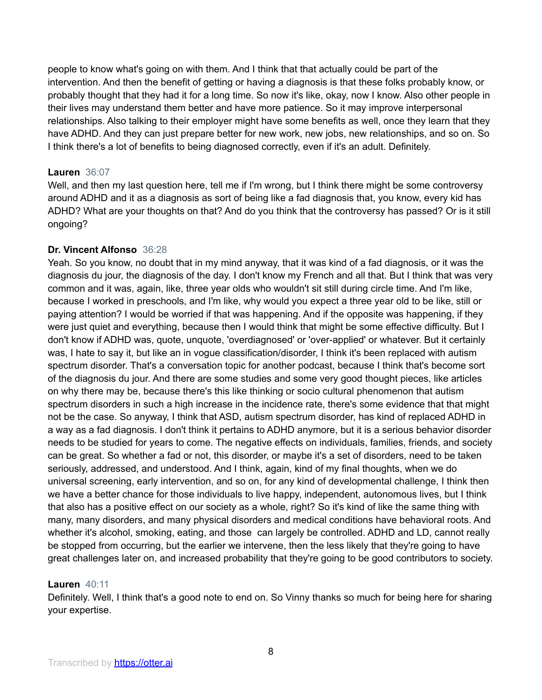people to know what's going on with them. And I think that that actually could be part of the intervention. And then the benefit of getting or having a diagnosis is that these folks probably know, or probably thought that they had it for a long time. So now it's like, okay, now I know. Also other people in their lives may understand them better and have more patience. So it may improve interpersonal relationships. Also talking to their employer might have some benefits as well, once they learn that they have ADHD. And they can just prepare better for new work, new jobs, new relationships, and so on. So I think there's a lot of benefits to being diagnosed correctly, even if it's an adult. Definitely.

### **Lauren** 36:07

Well, and then my last question here, tell me if I'm wrong, but I think there might be some controversy around ADHD and it as a diagnosis as sort of being like a fad diagnosis that, you know, every kid has ADHD? What are your thoughts on that? And do you think that the controversy has passed? Or is it still ongoing?

### **Dr. Vincent Alfonso** 36:28

Yeah. So you know, no doubt that in my mind anyway, that it was kind of a fad diagnosis, or it was the diagnosis du jour, the diagnosis of the day. I don't know my French and all that. But I think that was very common and it was, again, like, three year olds who wouldn't sit still during circle time. And I'm like, because I worked in preschools, and I'm like, why would you expect a three year old to be like, still or paying attention? I would be worried if that was happening. And if the opposite was happening, if they were just quiet and everything, because then I would think that might be some effective difficulty. But I don't know if ADHD was, quote, unquote, 'overdiagnosed' or 'over-applied' or whatever. But it certainly was, I hate to say it, but like an in vogue classification/disorder, I think it's been replaced with autism spectrum disorder. That's a conversation topic for another podcast, because I think that's become sort of the diagnosis du jour. And there are some studies and some very good thought pieces, like articles on why there may be, because there's this like thinking or socio cultural phenomenon that autism spectrum disorders in such a high increase in the incidence rate, there's some evidence that that might not be the case. So anyway, I think that ASD, autism spectrum disorder, has kind of replaced ADHD in a way as a fad diagnosis. I don't think it pertains to ADHD anymore, but it is a serious behavior disorder needs to be studied for years to come. The negative effects on individuals, families, friends, and society can be great. So whether a fad or not, this disorder, or maybe it's a set of disorders, need to be taken seriously, addressed, and understood. And I think, again, kind of my final thoughts, when we do universal screening, early intervention, and so on, for any kind of developmental challenge, I think then we have a better chance for those individuals to live happy, independent, autonomous lives, but I think that also has a positive effect on our society as a whole, right? So it's kind of like the same thing with many, many disorders, and many physical disorders and medical conditions have behavioral roots. And whether it's alcohol, smoking, eating, and those can largely be controlled. ADHD and LD, cannot really be stopped from occurring, but the earlier we intervene, then the less likely that they're going to have great challenges later on, and increased probability that they're going to be good contributors to society.

### **Lauren** 40:11

Definitely. Well, I think that's a good note to end on. So Vinny thanks so much for being here for sharing your expertise.